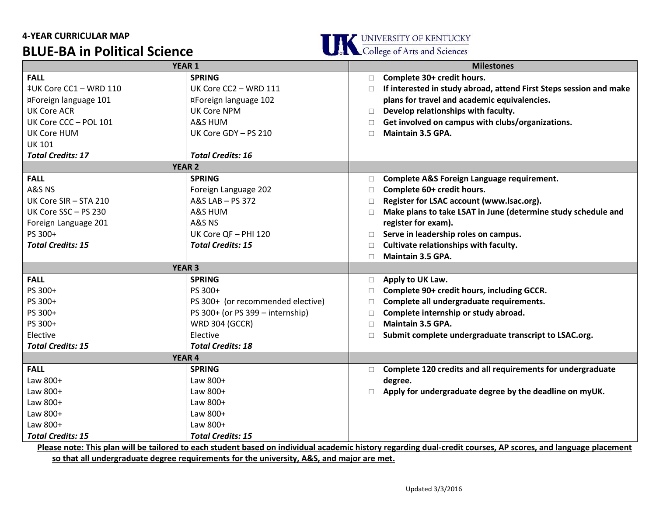## **4-YEAR CURRICULAR MAP BLUE-BA in Political Science**



| <b>YEAR 1</b>                                                                                                                                                 |                                   |        | <b>Milestones</b>                                                  |  |
|---------------------------------------------------------------------------------------------------------------------------------------------------------------|-----------------------------------|--------|--------------------------------------------------------------------|--|
| <b>FALL</b>                                                                                                                                                   | <b>SPRING</b>                     | $\Box$ | Complete 30+ credit hours.                                         |  |
| ‡UK Core CC1 - WRD 110                                                                                                                                        | UK Core CC2 - WRD 111             | n.     | If interested in study abroad, attend First Steps session and make |  |
| ¤Foreign language 101                                                                                                                                         | ¤Foreign language 102             |        | plans for travel and academic equivalencies.                       |  |
| <b>UK Core ACR</b>                                                                                                                                            | UK Core NPM                       | $\Box$ | Develop relationships with faculty.                                |  |
| UK Core CCC - POL 101                                                                                                                                         | A&S HUM                           | □      | Get involved on campus with clubs/organizations.                   |  |
| <b>UK Core HUM</b>                                                                                                                                            | UK Core GDY - PS 210              | $\Box$ | Maintain 3.5 GPA.                                                  |  |
| <b>UK 101</b>                                                                                                                                                 |                                   |        |                                                                    |  |
| <b>Total Credits: 17</b>                                                                                                                                      | <b>Total Credits: 16</b>          |        |                                                                    |  |
| <b>YEAR 2</b>                                                                                                                                                 |                                   |        |                                                                    |  |
| <b>FALL</b>                                                                                                                                                   | <b>SPRING</b>                     | $\Box$ | Complete A&S Foreign Language requirement.                         |  |
| A&S NS                                                                                                                                                        | Foreign Language 202              | $\Box$ | Complete 60+ credit hours.                                         |  |
| UK Core SIR - STA 210                                                                                                                                         | A&S LAB - PS 372                  | $\Box$ | Register for LSAC account (www.lsac.org).                          |  |
| UK Core SSC - PS 230                                                                                                                                          | A&S HUM                           | $\Box$ | Make plans to take LSAT in June (determine study schedule and      |  |
| Foreign Language 201                                                                                                                                          | A&S NS                            |        | register for exam).                                                |  |
| PS 300+                                                                                                                                                       | UK Core QF - PHI 120              | $\Box$ | Serve in leadership roles on campus.                               |  |
| <b>Total Credits: 15</b>                                                                                                                                      | <b>Total Credits: 15</b>          | $\Box$ | Cultivate relationships with faculty.                              |  |
|                                                                                                                                                               |                                   | $\Box$ | Maintain 3.5 GPA.                                                  |  |
| <b>YEAR 3</b>                                                                                                                                                 |                                   |        |                                                                    |  |
| <b>FALL</b>                                                                                                                                                   | <b>SPRING</b>                     | $\Box$ | Apply to UK Law.                                                   |  |
| PS 300+                                                                                                                                                       | PS 300+                           | $\Box$ | Complete 90+ credit hours, including GCCR.                         |  |
| PS 300+                                                                                                                                                       | PS 300+ (or recommended elective) | $\Box$ | Complete all undergraduate requirements.                           |  |
| PS 300+                                                                                                                                                       | PS 300+ (or PS 399 - internship)  | n      | Complete internship or study abroad.                               |  |
| PS 300+                                                                                                                                                       | <b>WRD 304 (GCCR)</b>             | $\Box$ | Maintain 3.5 GPA.                                                  |  |
| Elective                                                                                                                                                      | Elective                          | $\Box$ | Submit complete undergraduate transcript to LSAC.org.              |  |
| <b>Total Credits: 15</b>                                                                                                                                      | <b>Total Credits: 18</b>          |        |                                                                    |  |
| <b>YEAR 4</b>                                                                                                                                                 |                                   |        |                                                                    |  |
| <b>FALL</b>                                                                                                                                                   | <b>SPRING</b>                     | $\Box$ | Complete 120 credits and all requirements for undergraduate        |  |
| Law 800+                                                                                                                                                      | Law 800+                          |        | degree.                                                            |  |
| Law 800+                                                                                                                                                      | Law 800+                          |        | Apply for undergraduate degree by the deadline on myUK.            |  |
| Law 800+                                                                                                                                                      | Law 800+                          |        |                                                                    |  |
| Law 800+                                                                                                                                                      | Law 800+                          |        |                                                                    |  |
| Law 800+                                                                                                                                                      | Law 800+                          |        |                                                                    |  |
| <b>Total Credits: 15</b>                                                                                                                                      | <b>Total Credits: 15</b>          |        |                                                                    |  |
| Please note: This plan will be tailored to each student based on individual academic history regarding dual-credit courses, AP scores, and language placement |                                   |        |                                                                    |  |

**so that all undergraduate degree requirements for the university, A&S, and major are met.**